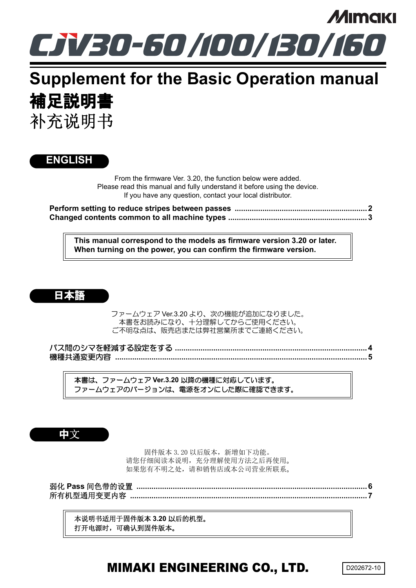

# **Supplement for the Basic Operation manual** 補足説明書 补充说明书

### **ENGLISH**

From the firmware Ver. 3.20, the function below were added. Please read this manual and fully understand it before using the device. If you have any question, contact your local distributor.

**[Perform setting to reduce stripes between passes ..............................................................2](#page-1-0) [Changed contents common to all machine types .................................................................3](#page-2-0)**

**This manual correspond to the models as firmware version 3.20 or later. When turning on the power, you can confirm the firmware version.**



ファームウェア Ver.3.20 より、次の機能が追加になりました。 本書をお読みになり、十分理解してからご使用ください。 ご不明な点は、販売店または弊社営業所までご連絡ください。

パス間のシマを軽減する設定をする **[..........................................................................................4](#page-3-0)** 機種共通変更内容 **[......................................................................................................................5](#page-4-0)**

本書は、ファームウェア **Ver.3.20** 以降の機種に対応しています。 ファームウェアのバージョンは、電源をオンにした際に確認できます。

中文

固件版本 3.20 以后版本,新增如下功能。 请您仔细阅读本说明,充分理解使用方法之后再使用。 如果您有不明之处,请和销售店或本公司营业所联系。

弱化 **Pass** 间色带的设置 **[............................................................................................................6](#page-5-0)** 所有机型通用变更内容 **[...............................................................................................................7](#page-6-0)**

本说明书适用于固件版本 **3.20** 以后的机型。 打开电源时,可确认到固件版本。

## MIMAKI ENGINEERING CO., LTD.

D202672-10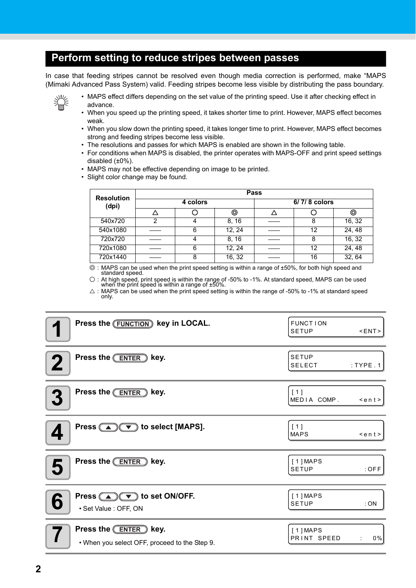### <span id="page-1-0"></span>**Perform setting to reduce stripes between passes**

In case that feeding stripes cannot be resolved even though media correction is performed, make "MAPS (Mimaki Advanced Pass System) valid. Feeding stripes become less visible by distributing the pass boundary.



• MAPS effect differs depending on the set value of the printing speed. Use it after checking effect in advance.

- When you speed up the printing speed, it takes shorter time to print. However, MAPS effect becomes weak.
- When you slow down the printing speed, it takes longer time to print. However, MAPS effect becomes strong and feeding stripes become less visible.
- The resolutions and passes for which MAPS is enabled are shown in the following table.
- For conditions when MAPS is disabled, the printer operates with MAPS-OFF and print speed settings disabled  $(\pm 0\%)$ .
- MAPS may not be effective depending on image to be printed.
- Slight color change may be found.

|                            | Pass     |   |        |              |    |        |  |
|----------------------------|----------|---|--------|--------------|----|--------|--|
| <b>Resolution</b><br>(dpi) | 4 colors |   |        | 6/7/8 colors |    |        |  |
|                            |          |   | ⊚      |              |    | ⊚      |  |
| 540x720                    |          |   | 8, 16  |              |    | 16, 32 |  |
| 540x1080                   |          | 6 | 12, 24 |              | 12 | 24, 48 |  |
| 720x720                    |          |   | 8, 16  |              |    | 16, 32 |  |
| 720x1080                   |          | 6 | 12, 24 |              | 12 | 24, 48 |  |
| 720x1440                   |          |   | 16, 32 |              | 16 | 32, 64 |  |

◎ : MAPS can be used when the print speed setting is within a range of ±50%, for both high speed and standard speed.

○ : At high speed, print speed is within the range of -50% to -1%. At standard speed, MAPS can be used when the print speed is within a range of ±50%.

 $\triangle$ : MAPS can be used when the print speed setting is within the range of -50% to -1% at standard speed only.

| Press the (FUNCTION) key in LOCAL.                                               | <b>FUNCTION</b><br><b>SETUP</b><br><ent></ent> |
|----------------------------------------------------------------------------------|------------------------------------------------|
| Press the <b>ENTER</b> key.                                                      | <b>SETUP</b><br><b>SELECT</b><br>$:$ TYPE $.1$ |
| Press the <b>ENTER</b> key.<br>$\boldsymbol{3}$                                  | [1]<br>MEDIA COMP.<br>$\leq$ ent>              |
| Press $\circled{(*)}$ to select [MAPS].                                          | [1]<br><b>MAPS</b><br>$\leq$ ent>              |
| Press the <b>ENTER</b> key.<br>5                                                 | [1] <b>MAPS</b><br>$:$ OFF<br><b>SETUP</b>     |
| Press $\textcircled{A}(\textcircled{F})$ to set ON/OFF.<br>· Set Value : OFF, ON | [1] <b>MAPS</b><br><b>SETUP</b><br>:ON         |
| Press the <b>ENTER</b> key.<br>• When you select OFF, proceed to the Step 9.     | [1] <b>MAPS</b><br>PRINT SPEED<br>0%           |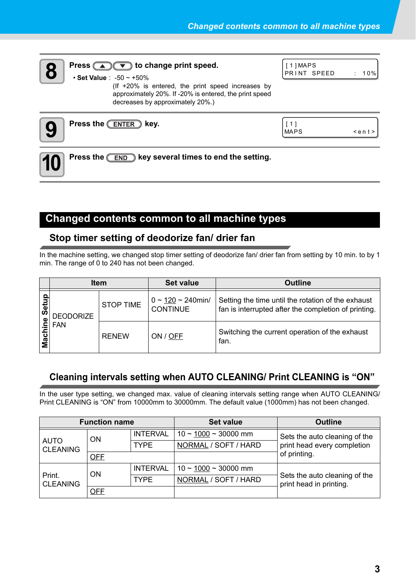

## **8 Press CDC** to change print speed.

[ 1 ] MAPS PRINT SPEED : 10%

#### • **Set Value** : -50 ~ +50% (If +20% is entered, the print speed increases by approximately 20%. If -20% is entered, the print speed decreases by approximately 20%.)



**9** Press the **ENTER** key.

| <b>MAPS</b> |  |
|-------------|--|

 $\leq$ ent  $\geq$ 

**10** Press the <u>CEND</u> key several times to end the setting.

### <span id="page-2-0"></span>**Changed contents common to all machine types**

### **Stop timer setting of deodorize fan/ drier fan**

In the machine setting, we changed stop timer setting of deodorize fan/ drier fan from setting by 10 min. to by 1 min. The range of 0 to 240 has not been changed.

|      | <b>Item</b>      |                  | <b>Set value</b>                              | <b>Outline</b>                                                                                             |
|------|------------------|------------------|-----------------------------------------------|------------------------------------------------------------------------------------------------------------|
| Ŏ,   | <b>DEODORIZE</b> | <b>STOP TIME</b> | $0 \sim 120 \sim 240$ min/<br><b>CONTINUE</b> | Setting the time until the rotation of the exhaust<br>fan is interrupted after the completion of printing. |
| Macl | <b>FAN</b>       | <b>RENEW</b>     | ON / OFF                                      | Switching the current operation of the exhaust<br>fan.                                                     |

### **Cleaning intervals setting when AUTO CLEANING/ Print CLEANING is "ON"**

In the user type setting, we changed max. value of cleaning intervals setting range when AUTO CLEANING/ Print CLEANING is "ON" from 10000mm to 30000mm. The default value (1000mm) has not been changed.

| <b>Function name</b>           |            |                 | <b>Set value</b>             | <b>Outline</b>                                           |  |
|--------------------------------|------------|-----------------|------------------------------|----------------------------------------------------------|--|
| <b>AUTO</b><br><b>CLEANING</b> | <b>ON</b>  | <b>INTERVAL</b> | $10 \sim 1000 \sim 30000$ mm | Sets the auto cleaning of the                            |  |
|                                |            | <b>TYPE</b>     | NORMAL / SOFT / HARD         | print head every completion                              |  |
|                                | <b>OFF</b> |                 |                              | of printing.                                             |  |
|                                | <b>ON</b>  | <b>INTERVAL</b> | $10 \sim 1000 \sim 30000$ mm |                                                          |  |
| Print.<br><b>CLEANING</b>      |            | <b>TYPE</b>     | NORMAL / SOFT / HARD         | Sets the auto cleaning of the<br>print head in printing. |  |
|                                | <b>OFF</b> |                 |                              |                                                          |  |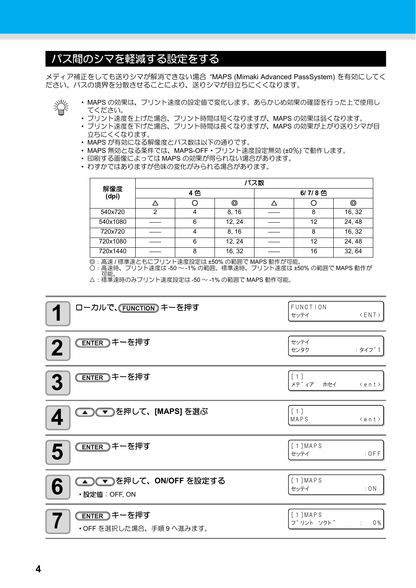## <span id="page-3-0"></span>パス間のシマを軽減する設定をする

メディア補正をしても送りシマが解消できない場合 "MAPS (Mimaki Advanced PassSystem) を有効にしてく ださい。パスの境界を分散させることにより、送りシマが目立ちにくくなります。



- MAPS の効果は、プリント速度の設定値で変化します。あらかじめ効果の確認を行った上で使用し てください。
- プリント速度を上げた場合、プリント時間は短くなりますが、MAPS の効果は弱くなります。
- プリント速度を下げた場合、プリント時間は長くなりますが、MAPS の効果が上がり送りシマが目 立ちにくくなります。
- MAPS が有効になる解像度とパス数は以下の通りです。
- MAPS 無効となる条件では、MAPS-OFF・プリント速度設定無効 (±0%) で動作します。
- 印刷する画像によっては MAPS の効果が得られない場合があります。
- わずかではありますが色味の変化がみられる場合があります。

|              | パス数 |   |        |        |    |        |
|--------------|-----|---|--------|--------|----|--------|
| 解像度<br>(dpi) | 4色  |   |        | 6/7/8色 |    |        |
|              |     |   | ⊚      |        |    | ⊚      |
| 540x720      | າ   |   | 8, 16  |        | 8  | 16, 32 |
| 540x1080     |     | 6 | 12, 24 |        | 12 | 24, 48 |
| 720x720      |     | 4 | 8, 16  |        | 8  | 16, 32 |
| 720x1080     |     | 6 | 12, 24 |        | 12 | 24, 48 |
| 720x1440     |     | 8 | 16, 32 |        | 16 | 32, 64 |

◎ : 高速 / 標準速ともにプリント速度設定は ±50% の範囲で MAPS 動作が可能。 ○ : 高速時、プリント速度は -50 ~ -1% の範囲。標準速時、プリント速度は ±50% の範囲で MAPS 動作が 可能。

△ : 標準速時のみプリント速度設定は -50 ~ -1% の範囲で MAPS 動作可能。

| ローカルで、(FUNCTION) キーを押す                         | FUNCTION<br>$\langle$ ENT $\rangle$<br>セッテイ |
|------------------------------------------------|---------------------------------------------|
| <del>ENTER</del> キーを押す<br>$\mathbf{2}$         | セッテイ<br>: タイフ <sup>°</sup> 1<br>センタク        |
| <u>(ENTER</u> )キーを押す<br>3                      | [1]<br>メテ゛ィア<br>ホセイ<br>$\leq e n t$         |
| <b>△○○● うる押して、[MAPS] を選ぶ</b>                   | [1]<br>MAPS<br>$\leq e n t$                 |
| <u> ENTER</u> キーを押す<br>5                       | [1] <b>MAP S</b><br>$:$ OFF<br>セッテイ         |
| ) ◯ を押して、ON/OFF を設定する<br>6<br>·設定値: OFF, ON    | [1] <b>MAP S</b><br>: ON<br>セッテイ            |
| <u>(ENTER</u> )キーを押す<br>•OFF を選択した場合、手順9へ進みます。 | [1]MAPS<br>フ <sup>°</sup> リント ソクト゛<br>0%    |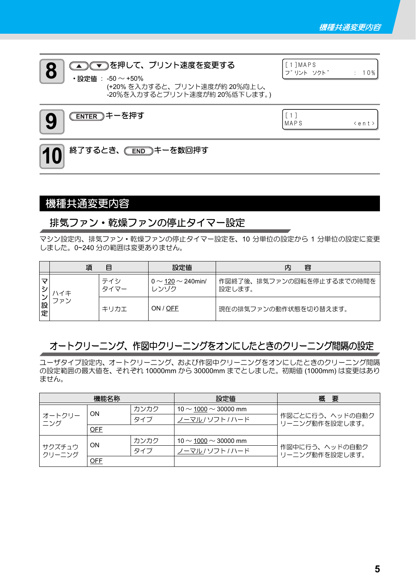

## 10 終了するとき、 CEND キーを数回押す

### <span id="page-4-0"></span>機種共通変更内容

### 排気ファン・乾燥ファンの停止タイマー設定

マシン設定内、排気ファン・乾燥ファンの停止タイマー設定を、10 分単位の設定から 1 分単位の設定に変更 しました。0~240 分の範囲は変更ありません。

|        | 項   | Ħ    | 設定値                                 | 内<br>容                              |
|--------|-----|------|-------------------------------------|-------------------------------------|
|        |     | テイシ  | 0 $\sim$ 120 $\sim$ 240min/<br>レンバク | 作図終了後、排気ファンの回転を停止するまでの時間を<br>設定します。 |
| 設<br>定 | ファン | キリカエ | ON / OFF                            | 現在の排気ファンの動作状態を切り替えます。               |

### オートクリーニング、作図中クリーニングをオンにしたときのクリーニング間隔の設定

ユーザタイプ設定内、オートクリーニング、および作図中クリーニングをオンにしたときのクリーニング間隔 の設定範囲の最大値を、それぞれ 10000mm から 30000mm までとしました。初期値 (1000mm) は変更はあり ません。

| 機能名称             |            |      | 設定値                            | 概<br>要                            |  |
|------------------|------------|------|--------------------------------|-----------------------------------|--|
| オートクリー<br>ニング    | <b>ON</b>  | カンカク | 10 $\sim$ 1000 $\sim$ 30000 mm |                                   |  |
|                  |            | タイプ  | ノーマル / ソフト / ハード               | 作図ごとに行う、ヘッドの自動ク<br>リーニング動作を設定します。 |  |
|                  | <b>OFF</b> |      |                                |                                   |  |
|                  | ON         | カンカク | 10 $\sim$ 1000 $\sim$ 30000 mm |                                   |  |
| サクズチュウ<br>クリーニング |            | タイプ  | ノーマル ハリフト ハード                  | 作図中に行う、ヘッドの自動ク<br>リーニング動作を設定します。  |  |
|                  | OFF        |      |                                |                                   |  |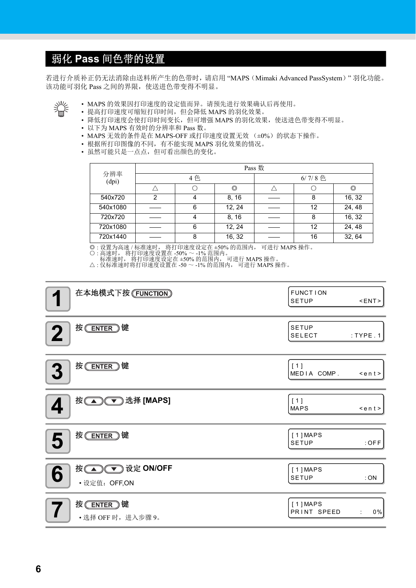## <span id="page-5-0"></span>弱化 **Pass** 间色带的设置

若进行介质补正仍无法消除由送料所产生的色带时,请启用 "MAPS(Mimaki Advanced PassSystem)" 羽化功能。 该功能可羽化 Pass 之间的界限,使送进色带变得不明显。



- MAPS 的效果因打印速度的设定值而异。请预先进行效果确认后再使用。
- 提高打印速度可缩短打印时间,但会降低 MAPS 的羽化效果。
- 降低打印速度会使打印时间变长,但可增强 MAPS 的羽化效果,使送进色带变得不明显。
- 以下为 MAPS 有效时的分辨率和 Pass 数。
- MAPS 无效的条件是在 MAPS-OFF 或打印速度设置无效 (±0%) 的状态下操作。
- 根据所打印图像的不同,有不能实现 MAPS 羽化效果的情况。
- 虽然可能只是一点点,但可看出颜色的变化。

|              | Pass 数 |   |        |           |    |        |
|--------------|--------|---|--------|-----------|----|--------|
| 分辨率<br>(dpi) | 4色     |   |        | $6/7/8$ 色 |    |        |
|              |        |   | ◎      |           |    | ◎      |
| 540x720      | າ      |   | 8, 16  |           | 8  | 16, 32 |
| 540x1080     |        | 6 | 12, 24 |           | 12 | 24, 48 |
| 720x720      |        |   | 8, 16  |           | 8  | 16, 32 |
| 720x1080     |        | 6 | 12, 24 |           | 12 | 24, 48 |
| 720x1440     |        | 8 | 16, 32 |           | 16 | 32, 64 |

◎ : 设置为高速 / 标准速时, 将打印速度设定在 ±50% 的范围内, 可进行 MAPS 操作。

○ : 高速时, 将打印速度设置在 -50% ~ -1% 范围内。

标准速时, 将打印速度设定在 ±50% 的范围内, 可进行 MAPS 操作。

△ : 仅标准速时将打印速度设置在 -50 ~ -1% 的范围内, 可进行 MAPS 操作。

| 在本地模式下按 (FUNCTION)                     | <b>FUNCTION</b><br><b>SETUP</b> | <ent></ent>   |
|----------------------------------------|---------------------------------|---------------|
| 按(ENTER)键<br>$\mathbf 2$               | <b>SETUP</b><br><b>SELECT</b>   | $:$ TYPE $.1$ |
| 按(ENTER)键<br>3                         | [1]<br>MEDIA COMP.              | $\leq$ ent>   |
| 按(△) (▼) 选择 [MAPS]<br>4                | [1]<br><b>MAPS</b>              | $\leq$ ent>   |
| 按(ENTER)键<br>5                         | [1] <b>MAPS</b><br><b>SETUP</b> | $:$ OFF       |
| 按(A) V 设定 ON/OFF<br>6<br>• 设定值: OFF,ON | [1] <b>MAPS</b><br><b>SETUP</b> | :ON           |
| 按(ENTER)键<br>· 选择 OFF 时, 进入步骤 9。       | [1] <b>MAPS</b><br>PRINT SPEED  | $0\%$<br>÷    |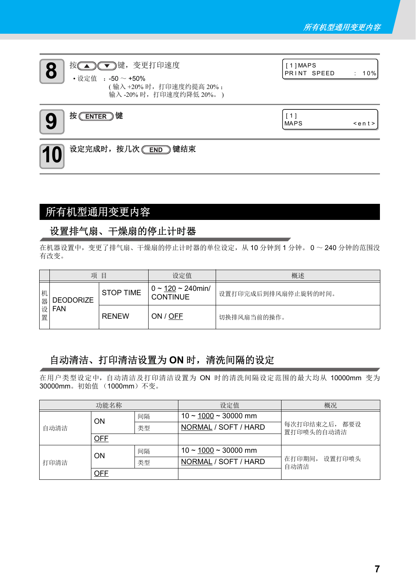

### <span id="page-6-0"></span>所有机型通用变更内容

### 设置排气扇、干燥扇的停止计时器

在机器设置中,变更了排气扇、干燥扇的停止计时器的单位设定,从 10 分钟到 1 分钟。 0 ~ 240 分钟的范围没 有改变。

|        | 项                | E                | 设定值                                           | 概述                  |
|--------|------------------|------------------|-----------------------------------------------|---------------------|
| 机<br>器 | <b>DEODORIZE</b> | <b>STOP TIME</b> | $0 \sim 120 \sim 240$ min/<br><b>CONTINUE</b> | 设置打印完成后到排风扇停止旋转的时间。 |
| 设<br>置 | <b>FAN</b>       | <b>RENEW</b>     | ON / OFF                                      | 切换排风扇当前的操作。         |

### 自动清洁、打印清洁设置为 **ON** 时,清洗间隔的设定

在用户类型设定中,自动清洁及打印清洁设置为 ON 时的清洗间隔设定范围的最大均从 10000mm 变为 30000mm。初始值 (1000mm)不变。

| 功能名称 |            |    | 设定值                          | 概况                          |
|------|------------|----|------------------------------|-----------------------------|
| 自动清洁 | ΟN         | 间隔 | $10 \sim 1000 \sim 30000$ mm | 每次打印结束之后, 都要设<br>置打印喷头的自动清洁 |
|      |            | 类型 | NORMAL / SOFT / HARD         |                             |
|      | OFF        |    |                              |                             |
| 打印清洁 | ΟN         | 间隔 | $10 \sim 1000 \sim 30000$ mm | 在打印期间, 设置打印喷头<br>自动清洁       |
|      |            | 类型 | NORMAL / SOFT / HARD         |                             |
|      | <u>OFF</u> |    |                              |                             |